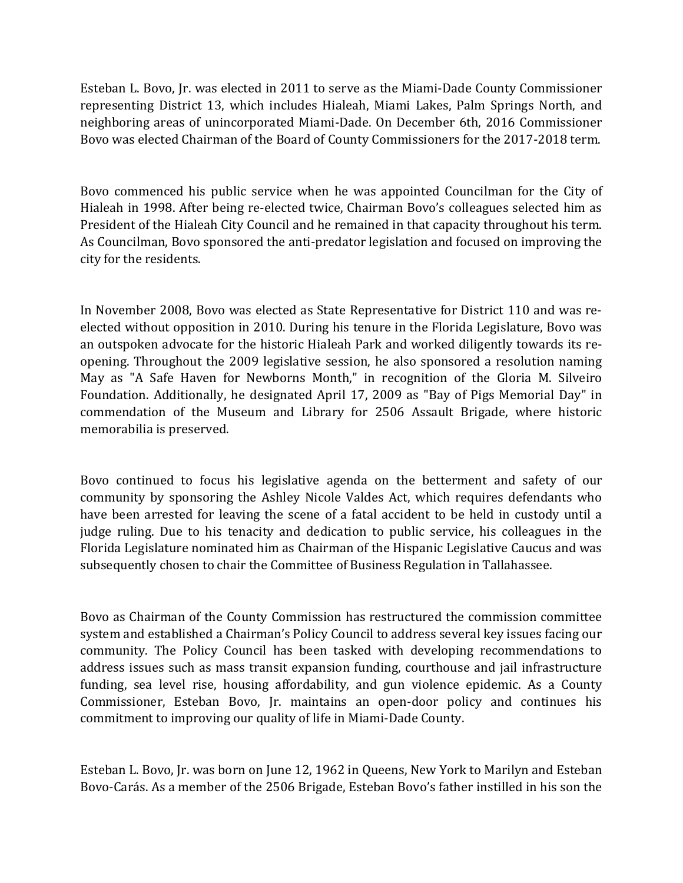Esteban L. Bovo, Jr. was elected in 2011 to serve as the Miami-Dade County Commissioner representing District 13, which includes Hialeah, Miami Lakes, Palm Springs North, and neighboring areas of unincorporated Miami-Dade. On December 6th, 2016 Commissioner Bovo was elected Chairman of the Board of County Commissioners for the 2017-2018 term.

Bovo commenced his public service when he was appointed Councilman for the City of Hialeah in 1998. After being re-elected twice, Chairman Bovo's colleagues selected him as President of the Hialeah City Council and he remained in that capacity throughout his term. As Councilman, Bovo sponsored the anti-predator legislation and focused on improving the city for the residents.

In November 2008, Bovo was elected as State Representative for District 110 and was reelected without opposition in 2010. During his tenure in the Florida Legislature, Bovo was an outspoken advocate for the historic Hialeah Park and worked diligently towards its reopening. Throughout the 2009 legislative session, he also sponsored a resolution naming May as "A Safe Haven for Newborns Month," in recognition of the Gloria M. Silveiro Foundation. Additionally, he designated April 17, 2009 as "Bay of Pigs Memorial Day" in commendation of the Museum and Library for 2506 Assault Brigade, where historic memorabilia is preserved.

Bovo continued to focus his legislative agenda on the betterment and safety of our community by sponsoring the Ashley Nicole Valdes Act, which requires defendants who have been arrested for leaving the scene of a fatal accident to be held in custody until a judge ruling. Due to his tenacity and dedication to public service, his colleagues in the Florida Legislature nominated him as Chairman of the Hispanic Legislative Caucus and was subsequently chosen to chair the Committee of Business Regulation in Tallahassee.

Bovo as Chairman of the County Commission has restructured the commission committee system and established a Chairman's Policy Council to address several key issues facing our community. The Policy Council has been tasked with developing recommendations to address issues such as mass transit expansion funding, courthouse and jail infrastructure funding, sea level rise, housing affordability, and gun violence epidemic. As a County Commissioner, Esteban Bovo, Jr. maintains an open-door policy and continues his commitment to improving our quality of life in Miami-Dade County.

Esteban L. Bovo, Jr. was born on June 12, 1962 in Queens, New York to Marilyn and Esteban Bovo-Carás. As a member of the 2506 Brigade, Esteban Bovo's father instilled in his son the